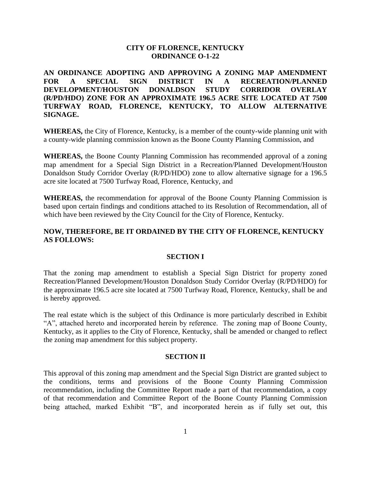## **CITY OF FLORENCE, KENTUCKY ORDINANCE O-1-22**

**AN ORDINANCE ADOPTING AND APPROVING A ZONING MAP AMENDMENT FOR A SPECIAL SIGN DISTRICT IN A RECREATION/PLANNED DEVELOPMENT/HOUSTON DONALDSON STUDY CORRIDOR OVERLAY (R/PD/HDO) ZONE FOR AN APPROXIMATE 196.5 ACRE SITE LOCATED AT 7500 TURFWAY ROAD, FLORENCE, KENTUCKY, TO ALLOW ALTERNATIVE SIGNAGE.** 

**WHEREAS,** the City of Florence, Kentucky, is a member of the county-wide planning unit with a county-wide planning commission known as the Boone County Planning Commission, and

**WHEREAS,** the Boone County Planning Commission has recommended approval of a zoning map amendment for a Special Sign District in a Recreation/Planned Development/Houston Donaldson Study Corridor Overlay (R/PD/HDO) zone to allow alternative signage for a 196.5 acre site located at 7500 Turfway Road, Florence, Kentucky, and

**WHEREAS,** the recommendation for approval of the Boone County Planning Commission is based upon certain findings and conditions attached to its Resolution of Recommendation, all of which have been reviewed by the City Council for the City of Florence, Kentucky.

## **NOW, THEREFORE, BE IT ORDAINED BY THE CITY OF FLORENCE, KENTUCKY AS FOLLOWS:**

#### **SECTION I**

That the zoning map amendment to establish a Special Sign District for property zoned Recreation/Planned Development/Houston Donaldson Study Corridor Overlay (R/PD/HDO) for the approximate 196.5 acre site located at 7500 Turfway Road, Florence, Kentucky, shall be and is hereby approved.

The real estate which is the subject of this Ordinance is more particularly described in Exhibit "A", attached hereto and incorporated herein by reference. The zoning map of Boone County, Kentucky, as it applies to the City of Florence, Kentucky, shall be amended or changed to reflect the zoning map amendment for this subject property.

#### **SECTION II**

This approval of this zoning map amendment and the Special Sign District are granted subject to the conditions, terms and provisions of the Boone County Planning Commission recommendation, including the Committee Report made a part of that recommendation, a copy of that recommendation and Committee Report of the Boone County Planning Commission being attached, marked Exhibit "B", and incorporated herein as if fully set out, this